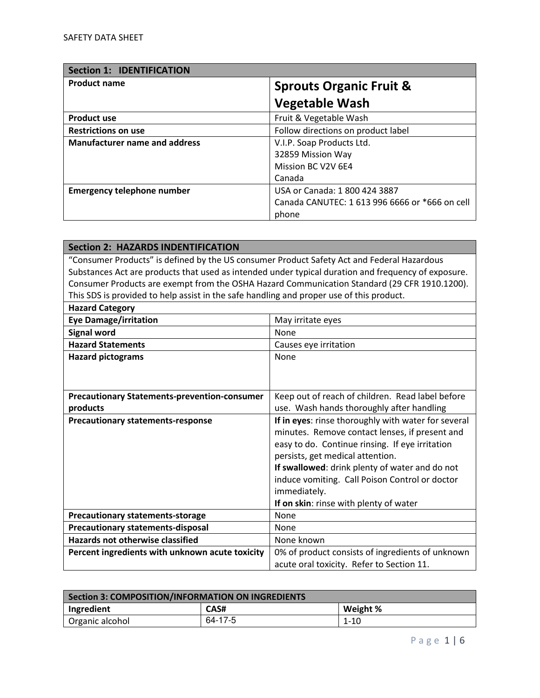| <b>Section 1: IDENTIFICATION</b>     |                                                |
|--------------------------------------|------------------------------------------------|
| <b>Product name</b>                  | <b>Sprouts Organic Fruit &amp;</b>             |
|                                      | <b>Vegetable Wash</b>                          |
| <b>Product use</b>                   | Fruit & Vegetable Wash                         |
| <b>Restrictions on use</b>           | Follow directions on product label             |
| <b>Manufacturer name and address</b> | V.I.P. Soap Products Ltd.                      |
|                                      | 32859 Mission Way                              |
|                                      | Mission BC V2V 6E4                             |
|                                      | Canada                                         |
| <b>Emergency telephone number</b>    | USA or Canada: 1 800 424 3887                  |
|                                      | Canada CANUTEC: 1 613 996 6666 or *666 on cell |
|                                      | phone                                          |

| <b>Section 2: HAZARDS INDENTIFICATION</b>                                                  |                                                                                                     |
|--------------------------------------------------------------------------------------------|-----------------------------------------------------------------------------------------------------|
| "Consumer Products" is defined by the US consumer Product Safety Act and Federal Hazardous |                                                                                                     |
|                                                                                            | Substances Act are products that used as intended under typical duration and frequency of exposure. |
|                                                                                            | Consumer Products are exempt from the OSHA Hazard Communication Standard (29 CFR 1910.1200).        |
| This SDS is provided to help assist in the safe handling and proper use of this product.   |                                                                                                     |
| <b>Hazard Category</b>                                                                     |                                                                                                     |
| <b>Eye Damage/irritation</b>                                                               | May irritate eyes                                                                                   |
| <b>Signal word</b>                                                                         | None                                                                                                |
| <b>Hazard Statements</b>                                                                   | Causes eye irritation                                                                               |
| <b>Hazard pictograms</b>                                                                   | None                                                                                                |
|                                                                                            |                                                                                                     |
|                                                                                            |                                                                                                     |
| <b>Precautionary Statements-prevention-consumer</b>                                        | Keep out of reach of children. Read label before                                                    |
| products                                                                                   | use. Wash hands thoroughly after handling                                                           |
| <b>Precautionary statements-response</b>                                                   | If in eyes: rinse thoroughly with water for several                                                 |
|                                                                                            | minutes. Remove contact lenses, if present and                                                      |
|                                                                                            | easy to do. Continue rinsing. If eye irritation                                                     |
|                                                                                            | persists, get medical attention.                                                                    |
|                                                                                            | If swallowed: drink plenty of water and do not                                                      |
|                                                                                            | induce vomiting. Call Poison Control or doctor                                                      |
|                                                                                            | immediately.                                                                                        |
|                                                                                            | If on skin: rinse with plenty of water                                                              |
| <b>Precautionary statements-storage</b>                                                    | None                                                                                                |
| <b>Precautionary statements-disposal</b>                                                   | None                                                                                                |
| <b>Hazards not otherwise classified</b>                                                    | None known                                                                                          |
| Percent ingredients with unknown acute toxicity                                            | 0% of product consists of ingredients of unknown                                                    |
|                                                                                            | acute oral toxicity. Refer to Section 11.                                                           |

| Section 3: COMPOSITION/INFORMATION ON INGREDIENTS |         |          |
|---------------------------------------------------|---------|----------|
| Ingredient                                        | CAS#    | Weight % |
| Organic alcohol                                   | 64-17-5 | 1-10     |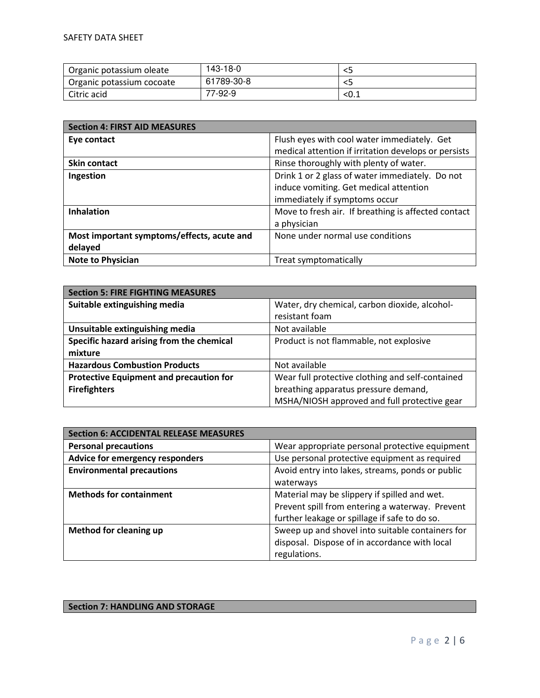| Organic potassium oleate  | 143-18-0   |       |
|---------------------------|------------|-------|
| Organic potassium cocoate | 61789-30-8 |       |
| Citric acid               | 77-92-9    | _<0.⊥ |

| <b>Section 4: FIRST AID MEASURES</b>       |                                                      |
|--------------------------------------------|------------------------------------------------------|
| Eye contact                                | Flush eyes with cool water immediately. Get          |
|                                            | medical attention if irritation develops or persists |
| <b>Skin contact</b>                        | Rinse thoroughly with plenty of water.               |
| Ingestion                                  | Drink 1 or 2 glass of water immediately. Do not      |
|                                            | induce vomiting. Get medical attention               |
|                                            | immediately if symptoms occur                        |
| <b>Inhalation</b>                          | Move to fresh air. If breathing is affected contact  |
|                                            | a physician                                          |
| Most important symptoms/effects, acute and | None under normal use conditions                     |
| delayed                                    |                                                      |
| <b>Note to Physician</b>                   | Treat symptomatically                                |

| <b>Section 5: FIRE FIGHTING MEASURES</b>       |                                                  |  |
|------------------------------------------------|--------------------------------------------------|--|
| Suitable extinguishing media                   | Water, dry chemical, carbon dioxide, alcohol-    |  |
|                                                | resistant foam                                   |  |
| Unsuitable extinguishing media                 | Not available                                    |  |
| Specific hazard arising from the chemical      | Product is not flammable, not explosive          |  |
| mixture                                        |                                                  |  |
| <b>Hazardous Combustion Products</b>           | Not available                                    |  |
| <b>Protective Equipment and precaution for</b> | Wear full protective clothing and self-contained |  |
| <b>Firefighters</b>                            | breathing apparatus pressure demand,             |  |
|                                                | MSHA/NIOSH approved and full protective gear     |  |

| <b>Section 6: ACCIDENTAL RELEASE MEASURES</b> |                                                  |
|-----------------------------------------------|--------------------------------------------------|
| <b>Personal precautions</b>                   | Wear appropriate personal protective equipment   |
| Advice for emergency responders               | Use personal protective equipment as required    |
| <b>Environmental precautions</b>              | Avoid entry into lakes, streams, ponds or public |
|                                               | waterways                                        |
| <b>Methods for containment</b>                | Material may be slippery if spilled and wet.     |
|                                               | Prevent spill from entering a waterway. Prevent  |
|                                               | further leakage or spillage if safe to do so.    |
| Method for cleaning up                        | Sweep up and shovel into suitable containers for |
|                                               | disposal. Dispose of in accordance with local    |
|                                               | regulations.                                     |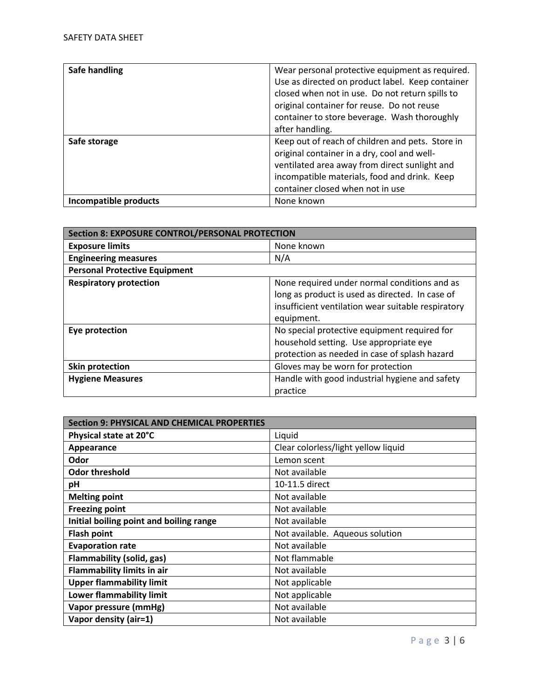| Safe handling         | Wear personal protective equipment as required.  |
|-----------------------|--------------------------------------------------|
|                       | Use as directed on product label. Keep container |
|                       | closed when not in use. Do not return spills to  |
|                       | original container for reuse. Do not reuse       |
|                       | container to store beverage. Wash thoroughly     |
|                       | after handling.                                  |
| Safe storage          | Keep out of reach of children and pets. Store in |
|                       | original container in a dry, cool and well-      |
|                       | ventilated area away from direct sunlight and    |
|                       | incompatible materials, food and drink. Keep     |
|                       | container closed when not in use                 |
| Incompatible products | None known                                       |

| <b>Section 8: EXPOSURE CONTROL/PERSONAL PROTECTION</b> |                                                    |  |
|--------------------------------------------------------|----------------------------------------------------|--|
| <b>Exposure limits</b>                                 | None known                                         |  |
| <b>Engineering measures</b>                            | N/A                                                |  |
| <b>Personal Protective Equipment</b>                   |                                                    |  |
| <b>Respiratory protection</b>                          | None required under normal conditions and as       |  |
|                                                        | long as product is used as directed. In case of    |  |
|                                                        | insufficient ventilation wear suitable respiratory |  |
|                                                        | equipment.                                         |  |
| Eye protection                                         | No special protective equipment required for       |  |
|                                                        | household setting. Use appropriate eye             |  |
|                                                        | protection as needed in case of splash hazard      |  |
| Skin protection                                        | Gloves may be worn for protection                  |  |
| <b>Hygiene Measures</b>                                | Handle with good industrial hygiene and safety     |  |
|                                                        | practice                                           |  |

| <b>Section 9: PHYSICAL AND CHEMICAL PROPERTIES</b> |                                     |
|----------------------------------------------------|-------------------------------------|
| Physical state at 20°C                             | Liquid                              |
| Appearance                                         | Clear colorless/light yellow liquid |
| Odor                                               | Lemon scent                         |
| <b>Odor threshold</b>                              | Not available                       |
| pH                                                 | 10-11.5 direct                      |
| <b>Melting point</b>                               | Not available                       |
| <b>Freezing point</b>                              | Not available                       |
| Initial boiling point and boiling range            | Not available                       |
| <b>Flash point</b>                                 | Not available. Aqueous solution     |
| <b>Evaporation rate</b>                            | Not available                       |
| <b>Flammability (solid, gas)</b>                   | Not flammable                       |
| <b>Flammability limits in air</b>                  | Not available                       |
| <b>Upper flammability limit</b>                    | Not applicable                      |
| Lower flammability limit                           | Not applicable                      |
| Vapor pressure (mmHg)                              | Not available                       |
| Vapor density (air=1)                              | Not available                       |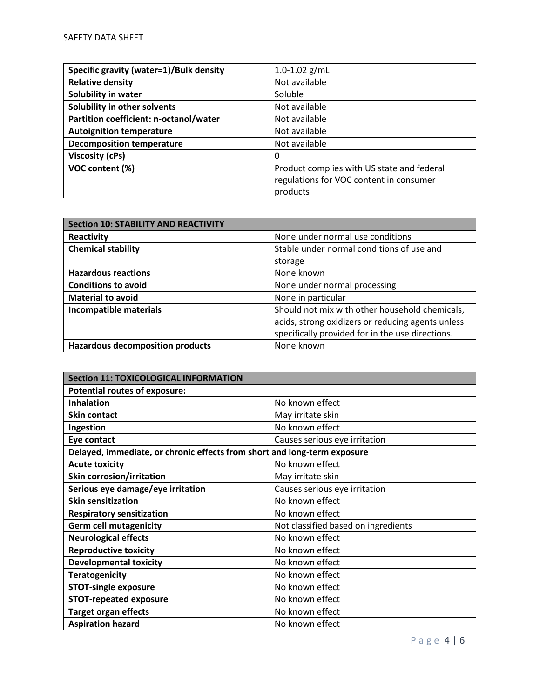| Specific gravity (water=1)/Bulk density | $1.0 - 1.02$ g/mL                          |
|-----------------------------------------|--------------------------------------------|
| <b>Relative density</b>                 | Not available                              |
| Solubility in water                     | Soluble                                    |
| Solubility in other solvents            | Not available                              |
| Partition coefficient: n-octanol/water  | Not available                              |
| <b>Autoignition temperature</b>         | Not available                              |
| <b>Decomposition temperature</b>        | Not available                              |
| <b>Viscosity (cPs)</b>                  | 0                                          |
| VOC content (%)                         | Product complies with US state and federal |
|                                         | regulations for VOC content in consumer    |
|                                         | products                                   |

| <b>Section 10: STABILITY AND REACTIVITY</b> |                                                   |
|---------------------------------------------|---------------------------------------------------|
| Reactivity                                  | None under normal use conditions                  |
| <b>Chemical stability</b>                   | Stable under normal conditions of use and         |
|                                             | storage                                           |
| <b>Hazardous reactions</b>                  | None known                                        |
| <b>Conditions to avoid</b>                  | None under normal processing                      |
| <b>Material to avoid</b>                    | None in particular                                |
| Incompatible materials                      | Should not mix with other household chemicals,    |
|                                             | acids, strong oxidizers or reducing agents unless |
|                                             | specifically provided for in the use directions.  |
| <b>Hazardous decomposition products</b>     | None known                                        |

| <b>Section 11: TOXICOLOGICAL INFORMATION</b>                             |                                     |
|--------------------------------------------------------------------------|-------------------------------------|
| <b>Potential routes of exposure:</b>                                     |                                     |
| <b>Inhalation</b>                                                        | No known effect                     |
| <b>Skin contact</b>                                                      | May irritate skin                   |
| Ingestion                                                                | No known effect                     |
| Eye contact                                                              | Causes serious eye irritation       |
| Delayed, immediate, or chronic effects from short and long-term exposure |                                     |
| <b>Acute toxicity</b>                                                    | No known effect                     |
| <b>Skin corrosion/irritation</b>                                         | May irritate skin                   |
| Serious eye damage/eye irritation                                        | Causes serious eye irritation       |
| <b>Skin sensitization</b>                                                | No known effect                     |
| <b>Respiratory sensitization</b>                                         | No known effect                     |
| <b>Germ cell mutagenicity</b>                                            | Not classified based on ingredients |
| <b>Neurological effects</b>                                              | No known effect                     |
| <b>Reproductive toxicity</b>                                             | No known effect                     |
| <b>Developmental toxicity</b>                                            | No known effect                     |
| <b>Teratogenicity</b>                                                    | No known effect                     |
| <b>STOT-single exposure</b>                                              | No known effect                     |
| <b>STOT-repeated exposure</b>                                            | No known effect                     |
| <b>Target organ effects</b>                                              | No known effect                     |
| <b>Aspiration hazard</b>                                                 | No known effect                     |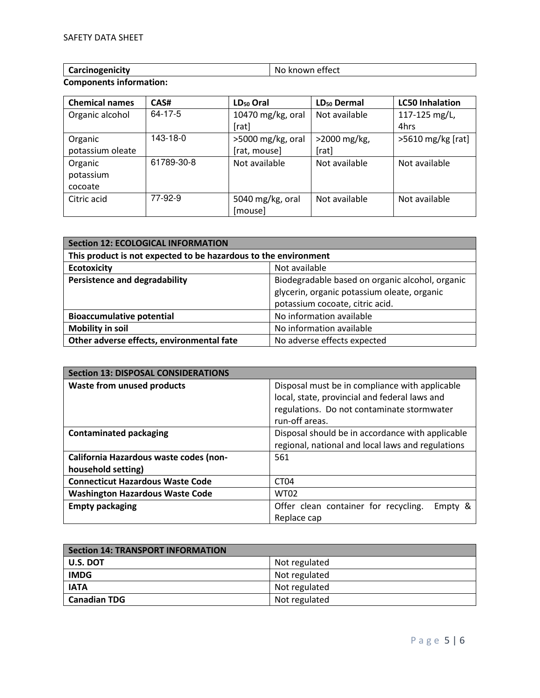| Carcinogonicity<br>unogenicity<br>.<br><b>CULCILIOS</b> | effect<br><br>N<br>$1$ M $\Gamma$<br>ки<br>________ |
|---------------------------------------------------------|-----------------------------------------------------|
|                                                         |                                                     |

## **Components information:**

| <b>Chemical names</b> | CAS#          | LD <sub>50</sub> Oral | LD <sub>50</sub> Dermal | <b>LC50 Inhalation</b> |
|-----------------------|---------------|-----------------------|-------------------------|------------------------|
| Organic alcohol       | $64 - 17 - 5$ | 10470 mg/kg, oral     | Not available           | 117-125 mg/L,          |
|                       |               | [rat]                 |                         | 4hrs                   |
| Organic               | 143-18-0      | >5000 mg/kg, oral     | >2000 mg/kg,            | >5610 mg/kg [rat]      |
| potassium oleate      |               | [rat, mouse]          | [rat]                   |                        |
| Organic               | 61789-30-8    | Not available         | Not available           | Not available          |
| potassium             |               |                       |                         |                        |
| cocoate               |               |                       |                         |                        |
| Citric acid           | 77-92-9       | 5040 mg/kg, oral      | Not available           | Not available          |
|                       |               | [mouse]               |                         |                        |

| <b>Section 12: ECOLOGICAL INFORMATION</b>                       |                                                 |  |
|-----------------------------------------------------------------|-------------------------------------------------|--|
| This product is not expected to be hazardous to the environment |                                                 |  |
| <b>Ecotoxicity</b><br>Not available                             |                                                 |  |
| <b>Persistence and degradability</b>                            | Biodegradable based on organic alcohol, organic |  |
|                                                                 | glycerin, organic potassium oleate, organic     |  |
|                                                                 | potassium cocoate, citric acid.                 |  |
| <b>Bioaccumulative potential</b>                                | No information available                        |  |
| <b>Mobility in soil</b>                                         | No information available                        |  |
| Other adverse effects, environmental fate                       | No adverse effects expected                     |  |

| <b>Section 13: DISPOSAL CONSIDERATIONS</b> |                                                   |
|--------------------------------------------|---------------------------------------------------|
| <b>Waste from unused products</b>          | Disposal must be in compliance with applicable    |
|                                            | local, state, provincial and federal laws and     |
|                                            | regulations. Do not contaminate stormwater        |
|                                            | run-off areas.                                    |
| <b>Contaminated packaging</b>              | Disposal should be in accordance with applicable  |
|                                            | regional, national and local laws and regulations |
| California Hazardous waste codes (non-     | 561                                               |
| household setting)                         |                                                   |
| <b>Connecticut Hazardous Waste Code</b>    | CT <sub>04</sub>                                  |
| <b>Washington Hazardous Waste Code</b>     | <b>WT02</b>                                       |
| <b>Empty packaging</b>                     | Offer clean container for recycling.<br>Empty &   |
|                                            | Replace cap                                       |

| Section 14: TRANSPORT INFORMATION |               |  |
|-----------------------------------|---------------|--|
| $\vert$ U.S. DOT                  | Not regulated |  |
| <b>IMDG</b>                       | Not regulated |  |
| <b>IATA</b>                       | Not regulated |  |
| Canadian TDG                      | Not regulated |  |